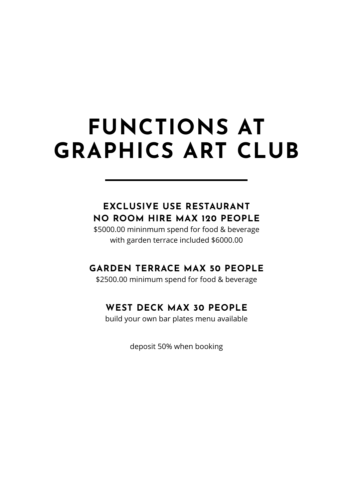# **FUNCTIONS AT GRAPHICS ART CLUB**

### **EXCLUSIVE USE RESTAURANT NO ROOM HIRE MAX 120 PEOPLE**

\$5000.00 mininmum spend for food & beverage with garden terrace included \$6000.00

### **GARDEN TERRACE MAX 50 PEOPLE**

\$2500.00 minimum spend for food & beverage

### **WEST DECK MAX 30 PEOPLE**

build your own bar plates menu available

deposit 50% when booking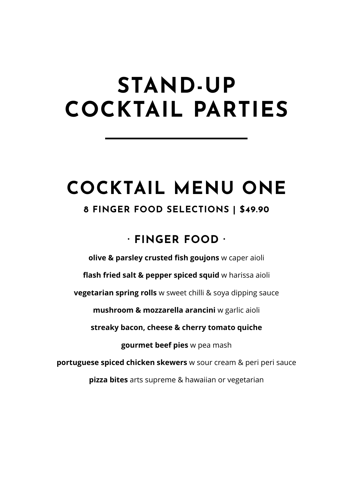# **STAND-UP COCKTAIL PARTIES**

## **COCKTAIL MENU ONE**

### **8 FINGER FOOD SELECTIONS | \$49.90**

### **· FINGER FOOD ·**

**olive & parsley crusted fish goujons** w caper aioli

**flash fried salt & pepper spiced squid** w harissa aioli

**vegetarian spring rolls** w sweet chilli & soya dipping sauce

**mushroom & mozzarella arancini** w garlic aioli

**streaky bacon, cheese & cherry tomato quiche**

**gourmet beef pies** w pea mash

**portuguese spiced chicken skewers** w sour cream & peri peri sauce

**pizza bites** arts supreme & hawaiian or vegetarian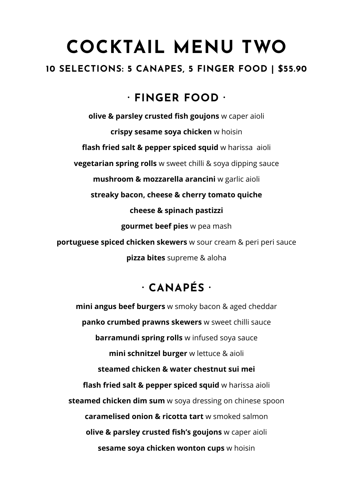## **COCKTAIL MENU TWO**

### **10 SELECTIONS: 5 CANAPES, 5 FINGER FOOD | \$55.90**

### **· FINGER FOOD ·**

**olive & parsley crusted fish goujons** w caper aioli **crispy sesame soya chicken** w hoisin **flash fried salt & pepper spiced squid** w harissa aioli **vegetarian spring rolls** w sweet chilli & soya dipping sauce **mushroom & mozzarella arancini** w garlic aioli **streaky bacon, cheese & cherry tomato quiche cheese & spinach pastizzi gourmet beef pies** w pea mash **portuguese spiced chicken skewers** w sour cream & peri peri sauce **pizza bites** supreme & aloha

### **· CANAPÉS ·**

**mini angus beef burgers** w smoky bacon & aged cheddar **panko crumbed prawns skewers** w sweet chilli sauce **barramundi spring rolls** w infused soya sauce **mini schnitzel burger** w lettuce & aioli **steamed chicken & water chestnut sui mei flash fried salt & pepper spiced squid** w harissa aioli **steamed chicken dim sum** w soya dressing on chinese spoon **caramelised onion & ricotta tart** w smoked salmon **olive & parsley crusted fish's goujons** w caper aioli **sesame soya chicken wonton cups** w hoisin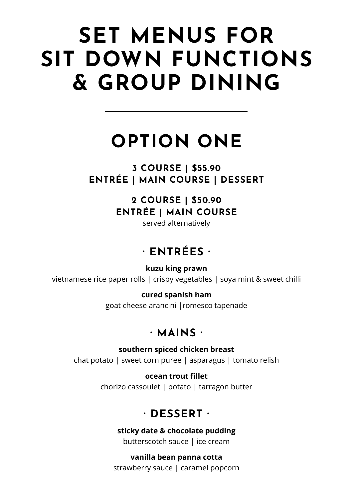# **SET MENUS FOR SIT DOWN FUNCTIONS & GROUP DINING**

## **OPTION ONE**

**3 COURSE | \$55.90 ENTRÉE | MAIN COURSE | DESSERT**

### **2 COURSE | \$50.90 ENTRÉE | MAIN COURSE**

served alternatively

## **· ENTRÉES ·**

**kuzu king prawn** vietnamese rice paper rolls | crispy vegetables | soya mint & sweet chilli

### **cured spanish ham**

goat cheese arancini |romesco tapenade

### **· MAINS ·**

**southern spiced chicken breast** chat potato | sweet corn puree | asparagus | tomato relish

> **ocean trout fillet** chorizo cassoulet | potato | tarragon butter

### **· DESSERT ·**

**sticky date & chocolate pudding** butterscotch sauce | ice cream

**vanilla bean panna cotta** strawberry sauce | caramel popcorn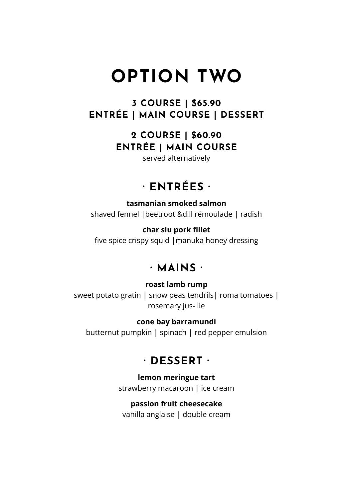## **OPTION TWO**

**3 COURSE | \$65.90 ENTRÉE | MAIN COURSE | DESSERT**

> **2 COURSE | \$60.90 ENTRÉE | MAIN COURSE**

served alternatively

### **· ENTRÉES ·**

**tasmanian smoked salmon** shaved fennel |beetroot &dill rémoulade | radish

#### **char siu pork fillet**

five spice crispy squid |manuka honey dressing

### **· MAINS ·**

#### **roast lamb rump**

sweet potato gratin | snow peas tendrils| roma tomatoes | rosemary jus- lie

#### **cone bay barramundi**

butternut pumpkin | spinach | red pepper emulsion

### **· DESSERT ·**

#### **lemon meringue tart**

strawberry macaroon | ice cream

#### **passion fruit cheesecake**

vanilla anglaise | double cream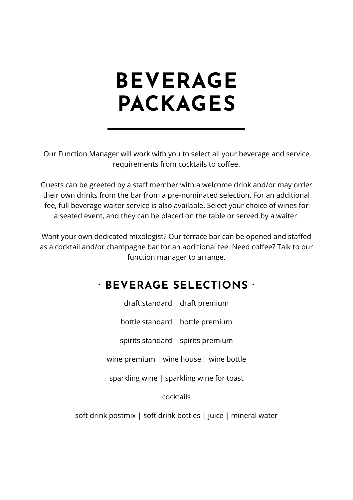# **BEVERAGE PACKAGES**

Our Function Manager will work with you to select all your beverage and service requirements from cocktails to coffee.

Guests can be greeted by a staff member with a welcome drink and/or may order their own drinks from the bar from a pre-nominated selection. For an additional fee, full beverage waiter service is also available. Select your choice of wines for a seated event, and they can be placed on the table or served by a waiter.

Want your own dedicated mixologist? Our terrace bar can be opened and staffed as a cocktail and/or champagne bar for an additional fee. Need coffee? Talk to our function manager to arrange.

### **· BEVERAGE SELECTIONS ·**

draft standard | draft premium

bottle standard | bottle premium

spirits standard | spirits premium

wine premium | wine house | wine bottle

sparkling wine | sparkling wine for toast

cocktails

soft drink postmix | soft drink bottles | juice | mineral water